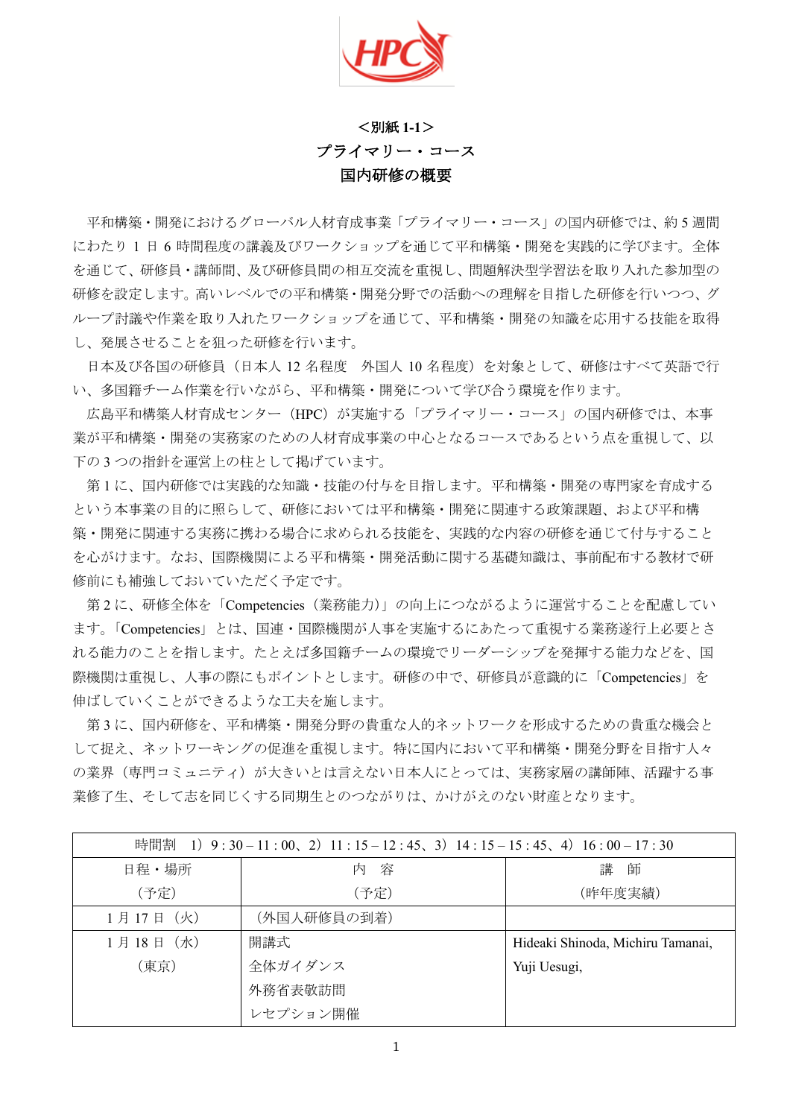

## <別紙 **1-1**> プライマリー・コース 国内研修の概要

平和構築・開発におけるグローバル人材育成事業「プライマリー・コース」の国内研修では、約 5 週間 にわたり 1 日 6 時間程度の講義及びワークショップを通じて平和構築・開発を実践的に学びます。全体 を通じて、研修員・講師間、及び研修員間の相互交流を重視し、問題解決型学習法を取り入れた参加型の 研修を設定します。高いレベルでの平和構築・開発分野での活動への理解を目指した研修を行いつつ、グ ループ討議や作業を取り入れたワークショップを通じて、平和構築・開発の知識を応用する技能を取得 し、発展させることを狙った研修を行います。

日本及び各国の研修員(日本人 12 名程度 外国人 10 名程度)を対象として、研修はすべて英語で行 い、多国籍チーム作業を行いながら、平和構築・開発について学び合う環境を作ります。

広島平和構築人材育成センター(HPC)が実施する「プライマリー・コース」の国内研修では、本事 業が平和構築・開発の実務家のための人材育成事業の中心となるコースであるという点を重視して、以 下の 3 つの指針を運営上の柱として掲げています。

第 1 に、国内研修では実践的な知識・技能の付与を目指します。平和構築・開発の専門家を育成する という本事業の目的に照らして、研修においては平和構築・開発に関連する政策課題、および平和構 築・開発に関連する実務に携わる場合に求められる技能を、実践的な内容の研修を通じて付与すること を心がけます。なお、国際機関による平和構築・開発活動に関する基礎知識は、事前配布する教材で研 修前にも補強しておいていただく予定です。

第 2 に、研修全体を「Competencies(業務能力)」の向上につながるように運営することを配慮してい ます。「Competencies」とは、国連・国際機関が人事を実施するにあたって重視する業務遂行上必要とさ れる能力のことを指します。たとえば多国籍チームの環境でリーダーシップを発揮する能力などを、国 際機関は重視し、人事の際にもポイントとします。研修の中で、研修員が意識的に「Competencies」を 伸ばしていくことができるような工夫を施します。

第 3 に、国内研修を、平和構築・開発分野の貴重な人的ネットワークを形成するための貴重な機会と して捉え、ネットワーキングの促進を重視します。特に国内において平和構築・開発分野を目指す人々 の業界(専門コミュニティ)が大きいとは言えない日本人にとっては、実務家層の講師陣、活躍する事 業修了生、そして志を同じくする同期生とのつながりは、かけがえのない財産となります。

| 時間割 1) $9:30-11:00$ , 2) $11:15-12:45$ , 3) $14:15-15:45$ , 4) $16:00-17:30$ |             |                                   |  |
|------------------------------------------------------------------------------|-------------|-----------------------------------|--|
| 日程・場所                                                                        | 内 容         | 講師                                |  |
| (予定)                                                                         | (予定)        | (昨年度実績)                           |  |
| 1月17日 (火)                                                                    | (外国人研修員の到着) |                                   |  |
| 1月18日 (水)                                                                    | 開講式         | Hideaki Shinoda, Michiru Tamanai, |  |
| (東京)                                                                         | 全体ガイダンス     | Yuji Uesugi,                      |  |
|                                                                              | 外務省表敬訪問     |                                   |  |
|                                                                              | レセプション開催    |                                   |  |

1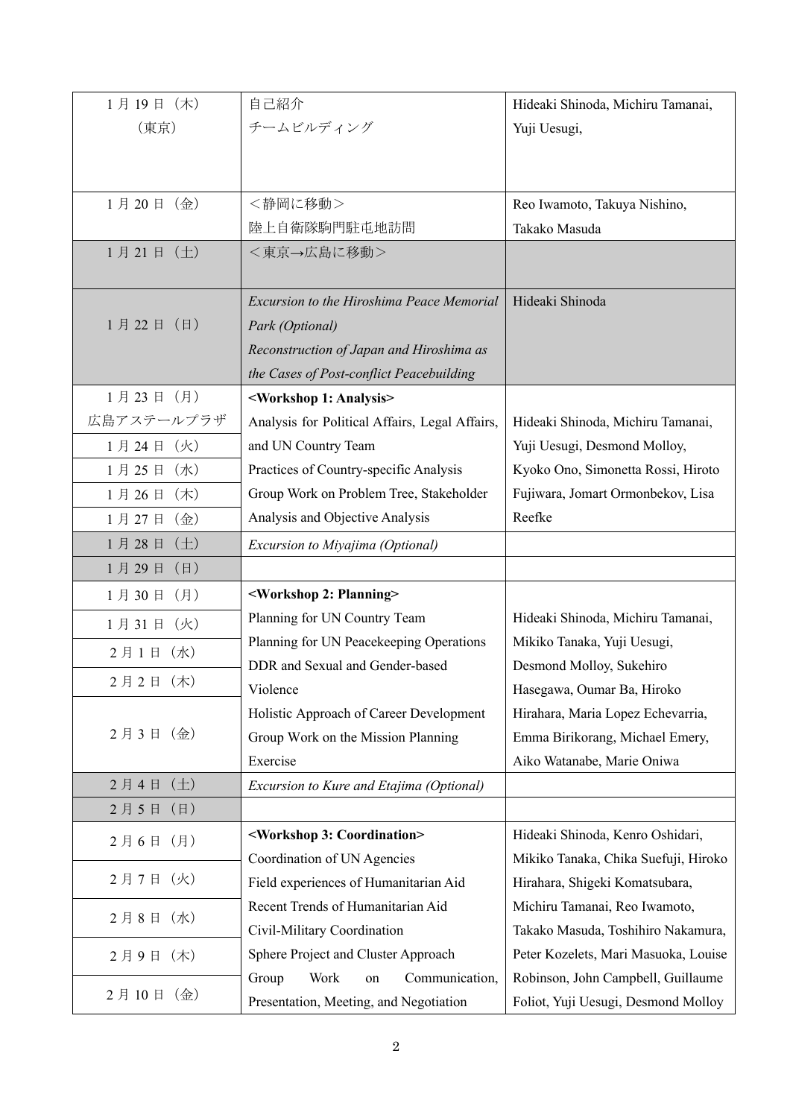| 1月19日 (木)        | 自己紹介                                           | Hideaki Shinoda, Michiru Tamanai,    |
|------------------|------------------------------------------------|--------------------------------------|
| (東京)             | チームビルディング                                      | Yuji Uesugi,                         |
|                  |                                                |                                      |
|                  |                                                |                                      |
| 1月20日 (金)        | <静岡に移動>                                        | Reo Iwamoto, Takuya Nishino,         |
|                  | 陸上自衛隊駒門駐屯地訪問                                   | Takako Masuda                        |
| 1月21日 (土)        | <東京→広島に移動>                                     |                                      |
|                  |                                                |                                      |
|                  | Excursion to the Hiroshima Peace Memorial      | Hideaki Shinoda                      |
| 1月22日 (日)        | Park (Optional)                                |                                      |
|                  | Reconstruction of Japan and Hiroshima as       |                                      |
|                  | the Cases of Post-conflict Peacebuilding       |                                      |
| 1月23日 (月)        | <workshop 1:="" analysis=""></workshop>        |                                      |
| 広島アステールプラザ       | Analysis for Political Affairs, Legal Affairs, | Hideaki Shinoda, Michiru Tamanai,    |
| 1月24日 (火)        | and UN Country Team                            | Yuji Uesugi, Desmond Molloy,         |
| 1月25日 (水)        | Practices of Country-specific Analysis         | Kyoko Ono, Simonetta Rossi, Hiroto   |
| 1月26日 (木)        | Group Work on Problem Tree, Stakeholder        | Fujiwara, Jomart Ormonbekov, Lisa    |
| 1月27日 (金)        | Analysis and Objective Analysis                | Reefke                               |
| 1月28日<br>$(\pm)$ | Excursion to Miyajima (Optional)               |                                      |
| 1月29日 (日)        |                                                |                                      |
| 1月30日<br>(月)     | <workshop 2:="" planning=""></workshop>        |                                      |
| 1月31日 (火)        | Planning for UN Country Team                   | Hideaki Shinoda, Michiru Tamanai,    |
| 2月1日 (水)         | Planning for UN Peacekeeping Operations        | Mikiko Tanaka, Yuji Uesugi,          |
|                  | DDR and Sexual and Gender-based                | Desmond Molloy, Sukehiro             |
| 2月2日 (木)         | Violence                                       | Hasegawa, Oumar Ba, Hiroko           |
|                  | Holistic Approach of Career Development        | Hirahara, Maria Lopez Echevarria,    |
| 2月3日 (金)         | Group Work on the Mission Planning             | Emma Birikorang, Michael Emery,      |
|                  | Exercise                                       | Aiko Watanabe, Marie Oniwa           |
| $(\pm)$<br>2月4日  | Excursion to Kure and Etajima (Optional)       |                                      |
| $(\Box)$<br>2月5日 |                                                |                                      |
| 2月6日 (月)         | <workshop 3:="" coordination=""></workshop>    | Hideaki Shinoda, Kenro Oshidari,     |
|                  | Coordination of UN Agencies                    | Mikiko Tanaka, Chika Suefuji, Hiroko |
| 2月7日 (火)         | Field experiences of Humanitarian Aid          | Hirahara, Shigeki Komatsubara,       |
| 2月8日 (水)         | Recent Trends of Humanitarian Aid              | Michiru Tamanai, Reo Iwamoto,        |
|                  | Civil-Military Coordination                    | Takako Masuda, Toshihiro Nakamura,   |
| 2月9日 (木)         | Sphere Project and Cluster Approach            | Peter Kozelets, Mari Masuoka, Louise |
| 2月10日 (金)        | Work<br>Communication,<br>Group<br>on          | Robinson, John Campbell, Guillaume   |
|                  | Presentation, Meeting, and Negotiation         | Foliot, Yuji Uesugi, Desmond Molloy  |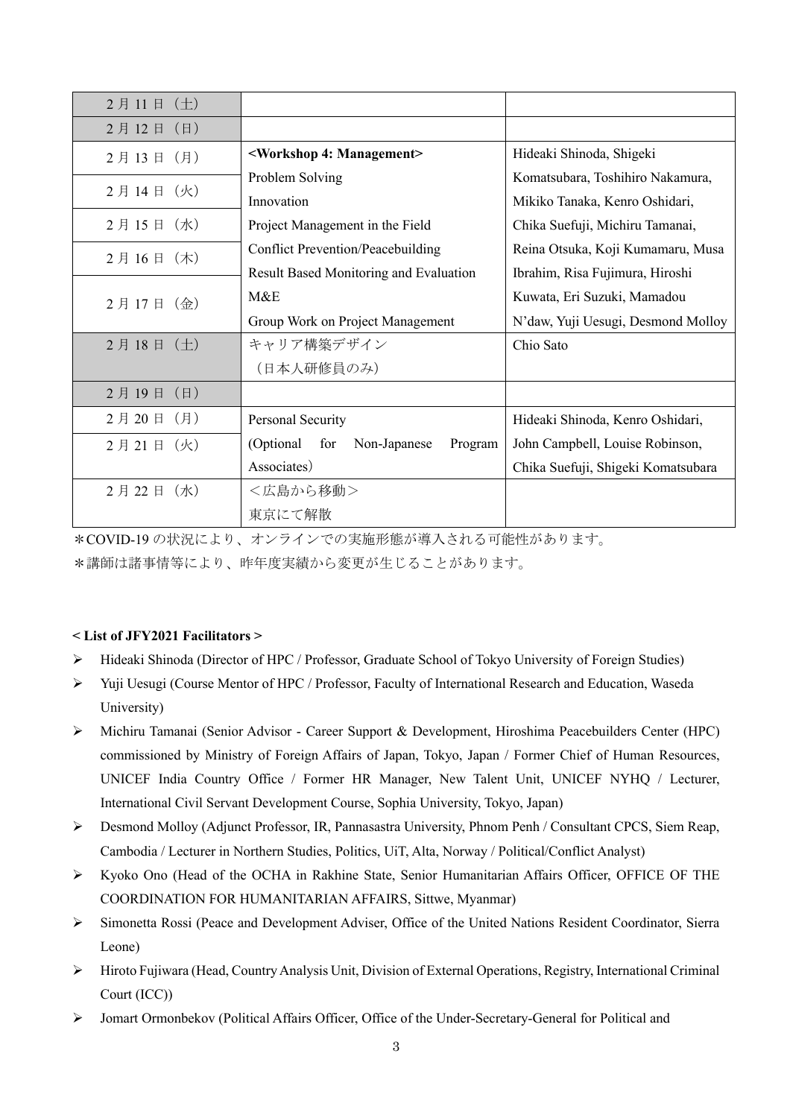| 2月11日 (土)               |                                           |                                    |
|-------------------------|-------------------------------------------|------------------------------------|
| 2月12日 (日)               |                                           |                                    |
| 2月13日 (月)               | <workshop 4:="" management=""></workshop> | Hideaki Shinoda, Shigeki           |
| 2月14日 (火)               | Problem Solving                           | Komatsubara, Toshihiro Nakamura,   |
|                         | Innovation                                | Mikiko Tanaka, Kenro Oshidari,     |
| 2月15日 (水)               | Project Management in the Field           | Chika Suefuji, Michiru Tamanai,    |
| 2月16日 (木)               | Conflict Prevention/Peacebuilding         | Reina Otsuka, Koji Kumamaru, Musa  |
|                         | Result Based Monitoring and Evaluation    | Ibrahim, Risa Fujimura, Hiroshi    |
| 2月17日 (金)               | M&E                                       | Kuwata, Eri Suzuki, Mamadou        |
|                         | Group Work on Project Management          | N'daw, Yuji Uesugi, Desmond Molloy |
| 2月18日 (土)               | キャリア構築デザイン                                | Chio Sato                          |
|                         | (日本人研修員のみ)                                |                                    |
| 2月19日 (日)               |                                           |                                    |
| 2月20日 (月)               | Personal Security                         | Hideaki Shinoda, Kenro Oshidari,   |
| 2月21日 (火)               | (Optional for<br>Non-Japanese<br>Program  | John Campbell, Louise Robinson,    |
|                         | Associates)                               | Chika Suefuji, Shigeki Komatsubara |
| $(\nexists k)$<br>2月22日 | <広島から移動>                                  |                                    |
|                         | 東京にて解散                                    |                                    |

\*COVID-19 の状況により、オンラインでの実施形態が導入される可能性があります。 \*講師は諸事情等により、昨年度実績から変更が生じることがあります。

## **< List of JFY2021 Facilitators >**

- Ø Hideaki Shinoda (Director of HPC / Professor, Graduate School of Tokyo University of Foreign Studies)
- Ø Yuji Uesugi (Course Mentor of HPC / Professor, Faculty of International Research and Education, Waseda University)
- Ø Michiru Tamanai (Senior Advisor Career Support & Development, Hiroshima Peacebuilders Center (HPC) commissioned by Ministry of Foreign Affairs of Japan, Tokyo, Japan / Former Chief of Human Resources, UNICEF India Country Office / Former HR Manager, New Talent Unit, UNICEF NYHQ / Lecturer, International Civil Servant Development Course, Sophia University, Tokyo, Japan)
- Ø Desmond Molloy (Adjunct Professor, IR, Pannasastra University, Phnom Penh / Consultant CPCS, Siem Reap, Cambodia / Lecturer in Northern Studies, Politics, UiT, Alta, Norway / Political/Conflict Analyst)
- Ø Kyoko Ono (Head of the OCHA in Rakhine State, Senior Humanitarian Affairs Officer, OFFICE OF THE COORDINATION FOR HUMANITARIAN AFFAIRS, Sittwe, Myanmar)
- Ø Simonetta Rossi (Peace and Development Adviser, Office of the United Nations Resident Coordinator, Sierra Leone)
- Ø Hiroto Fujiwara (Head, Country Analysis Unit, Division of External Operations, Registry, International Criminal Court (ICC))
- Ø Jomart Ormonbekov (Political Affairs Officer, Office of the Under-Secretary-General for Political and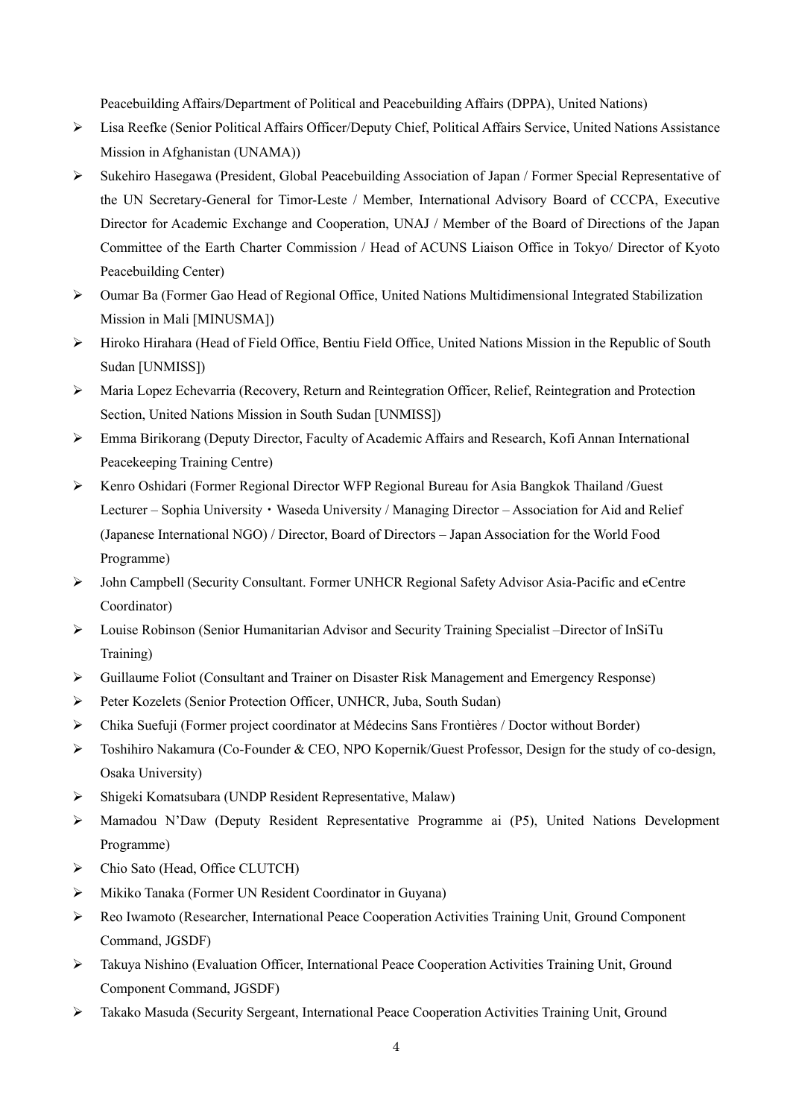Peacebuilding Affairs/Department of Political and Peacebuilding Affairs (DPPA), United Nations)

- Ø Lisa Reefke (Senior Political Affairs Officer/Deputy Chief, Political Affairs Service, United Nations Assistance Mission in Afghanistan (UNAMA))
- Ø Sukehiro Hasegawa (President, Global Peacebuilding Association of Japan / Former Special Representative of the UN Secretary-General for Timor-Leste / Member, International Advisory Board of CCCPA, Executive Director for Academic Exchange and Cooperation, UNAJ / Member of the Board of Directions of the Japan Committee of the Earth Charter Commission / Head of ACUNS Liaison Office in Tokyo/ Director of Kyoto Peacebuilding Center)
- Ø Oumar Ba (Former Gao Head of Regional Office, United Nations Multidimensional Integrated Stabilization Mission in Mali [MINUSMA])
- $\triangleright$  Hiroko Hirahara (Head of Field Office, Bentiu Field Office, United Nations Mission in the Republic of South Sudan [UNMISS])
- Ø Maria Lopez Echevarria (Recovery, Return and Reintegration Officer, Relief, Reintegration and Protection Section, United Nations Mission in South Sudan [UNMISS])
- Ø Emma Birikorang (Deputy Director, Faculty of Academic Affairs and Research, Kofi Annan International Peacekeeping Training Centre)
- Ø Kenro Oshidari (Former Regional Director WFP Regional Bureau for Asia Bangkok Thailand /Guest Lecturer – Sophia University • Waseda University / Managing Director – Association for Aid and Relief (Japanese International NGO) / Director, Board of Directors – Japan Association for the World Food Programme)
- $\triangleright$  John Campbell (Security Consultant. Former UNHCR Regional Safety Advisor Asia-Pacific and eCentre Coordinator)
- Ø Louise Robinson (Senior Humanitarian Advisor and Security Training Specialist –Director of InSiTu Training)
- $\triangleright$  Guillaume Foliot (Consultant and Trainer on Disaster Risk Management and Emergency Response)
- Ø Peter Kozelets (Senior Protection Officer, UNHCR, Juba, South Sudan)
- Ø Chika Suefuji (Former project coordinator at Médecins Sans Frontières / Doctor without Border)
- $\triangleright$  Toshihiro Nakamura (Co-Founder & CEO, NPO Kopernik/Guest Professor, Design for the study of co-design, Osaka University)
- $\triangleright$  Shigeki Komatsubara (UNDP Resident Representative, Malaw)
- Ø Mamadou N'Daw (Deputy Resident Representative Programme ai (P5), United Nations Development Programme)
- Ø Chio Sato (Head, Office CLUTCH)
- Ø Mikiko Tanaka (Former UN Resident Coordinator in Guyana)
- Ø Reo Iwamoto (Researcher, International Peace Cooperation Activities Training Unit, Ground Component Command, JGSDF)
- Ø Takuya Nishino (Evaluation Officer, International Peace Cooperation Activities Training Unit, Ground Component Command, JGSDF)
- Ø Takako Masuda (Security Sergeant, International Peace Cooperation Activities Training Unit, Ground